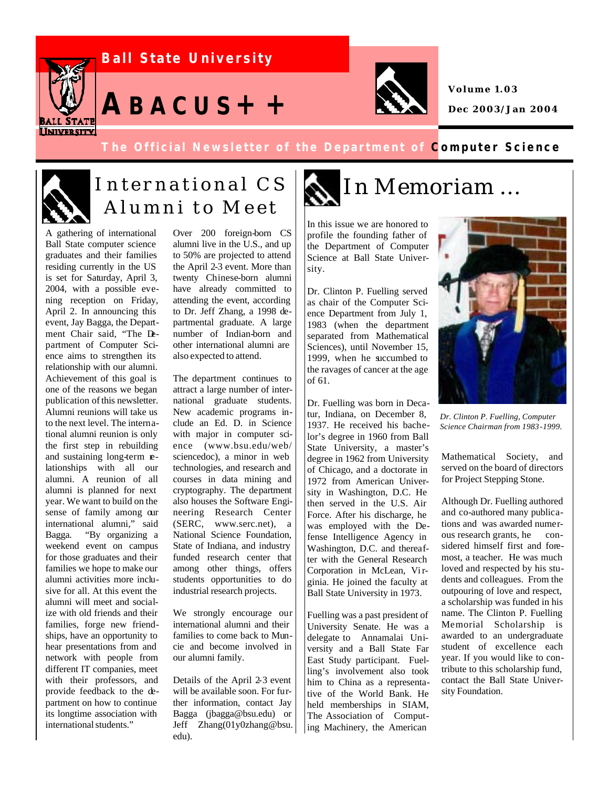

#### **The Official Newsletter of the Department of Computer Science**



# Alumni to Meet

A gathering of international Ball State computer science graduates and their families residing currently in the US is set for Saturday, April 3, 2004, with a possible evening reception on Friday, April 2. In announcing this event, Jay Bagga, the Department Chair said, "The Department of Computer Science aims to strengthen its relationship with our alumni. Achievement of this goal is one of the reasons we began publication of this newsletter. Alumni reunions will take us to the next level. The international alumni reunion is only the first step in rebuilding and sustaining long-term relationships with all our alumni. A reunion of all alumni is planned for next year. We want to build on the sense of family among our international alumni," said Bagga. "By organizing a weekend event on campus for those graduates and their families we hope to make our alumni activities more inclusive for all. At this event the alumni will meet and socialize with old friends and their families, forge new friendships, have an opportunity to hear presentations from and network with people from different IT companies, meet with their professors, and provide feedback to the department on how to continue its longtime association with international students."

Over 200 foreign-born CS alumni live in the U.S., and up to 50% are projected to attend the April 2-3 event. More than twenty Chinese-born alumni have already committed to attending the event, according to Dr. Jeff Zhang, a 1998 departmental graduate. A large number of Indian-born and other international alumni are also expected to attend.

The department continues to attract a large number of international graduate students. New academic programs include an Ed. D. in Science with major in computer science (www.bsu.edu/web/ sciencedoc), a minor in web technologies, and research and courses in data mining and cryptography. The department also houses the Software Engineering Research Center (SERC, www.serc.net), a National Science Foundation, State of Indiana, and industry funded research center that among other things, offers students opportunities to do industrial research projects.

We strongly encourage our international alumni and their families to come back to Muncie and become involved in our alumni family.

Details of the April 2-3 event will be available soon. For further information, contact Jay Bagga (jbagga@bsu.edu) or Jeff Zhang(01y0zhang@bsu. edu).

## International CS MINMemoriam ...

In this issue we are honored to profile the founding father of the Department of Computer Science at Ball State University.

Dr. Clinton P. Fuelling served as chair of the Computer Science Department from July 1, 1983 (when the department separated from Mathematical Sciences), until November 15, 1999, when he succumbed to the ravages of cancer at the age of 61.

Dr. Fuelling was born in Decatur, Indiana, on December 8, 1937. He received his bachelor's degree in 1960 from Ball State University, a master's degree in 1962 from University of Chicago, and a doctorate in 1972 from American University in Washington, D.C. He then served in the U.S. Air Force. After his discharge, he was employed with the Defense Intelligence Agency in Washington, D.C. and thereafter with the General Research Corporation in McLean, Virginia. He joined the faculty at Ball State University in 1973.

Fuelling was a past president of University Senate. He was a delegate to Annamalai University and a Ball State Far East Study participant. Fuelling's involvement also took him to China as a representative of the World Bank. He held memberships in SIAM, The Association of Computing Machinery, the American



*Dr. Clinton P. Fuelling, Computer Science Chairman from 1983-1999.*

Mathematical Society, and served on the board of directors for Project Stepping Stone.

Although Dr. Fuelling authored and co-authored many publications and was awarded numerous research grants, he considered himself first and foremost, a teacher. He was much loved and respected by his students and colleagues. From the outpouring of love and respect, a scholarship was funded in his name. The Clinton P. Fuelling Memorial Scholarship is awarded to an undergraduate student of excellence each year. If you would like to contribute to this scholarship fund, contact the Ball State University Foundation.